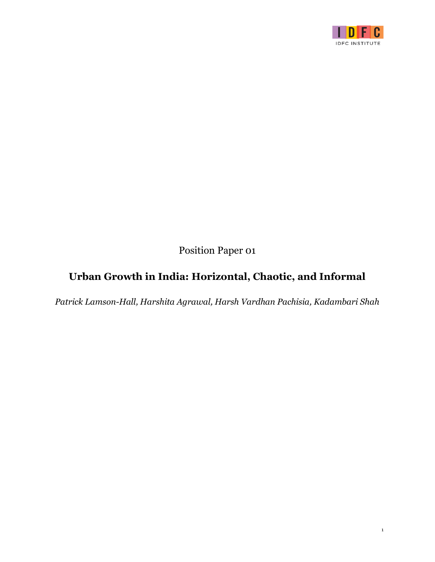

Position Paper 01

# **Urban Growth in India: Horizontal, Chaotic, and Informal**

*Patrick Lamson-Hall, Harshita Agrawal, Harsh Vardhan Pachisia, Kadambari Shah*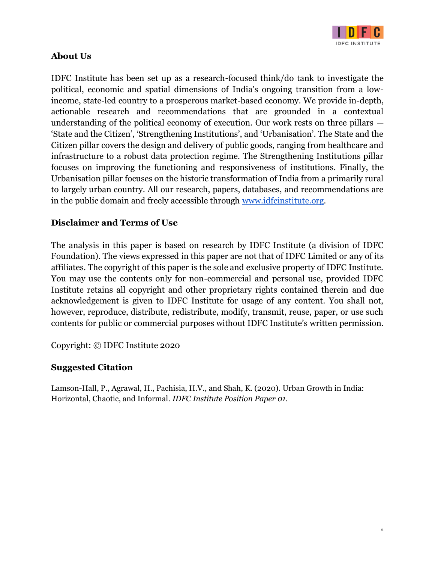

# **About Us**

IDFC Institute has been set up as a research-focused think/do tank to investigate the political, economic and spatial dimensions of India's ongoing transition from a lowincome, state-led country to a prosperous market-based economy. We provide in-depth, actionable research and recommendations that are grounded in a contextual understanding of the political economy of execution. Our work rests on three pillars — 'State and the Citizen', 'Strengthening Institutions', and 'Urbanisation'. The State and the Citizen pillar covers the design and delivery of public goods, ranging from healthcare and infrastructure to a robust data protection regime. The Strengthening Institutions pillar focuses on improving the functioning and responsiveness of institutions. Finally, the Urbanisation pillar focuses on the historic transformation of India from a primarily rural to largely urban country. All our research, papers, databases, and recommendations are in the public domain and freely accessible through [www.idfcinstitute.org.](http://www.idfcinstitute.org/)

# **Disclaimer and Terms of Use**

The analysis in this paper is based on research by IDFC Institute (a division of IDFC Foundation). The views expressed in this paper are not that of IDFC Limited or any of its affiliates. The copyright of this paper is the sole and exclusive property of IDFC Institute. You may use the contents only for non-commercial and personal use, provided IDFC Institute retains all copyright and other proprietary rights contained therein and due acknowledgement is given to IDFC Institute for usage of any content. You shall not, however, reproduce, distribute, redistribute, modify, transmit, reuse, paper, or use such contents for public or commercial purposes without IDFC Institute's written permission.

Copyright: © IDFC Institute 2020

# **Suggested Citation**

Lamson-Hall, P., Agrawal, H., Pachisia, H.V., and Shah, K. (2020). Urban Growth in India: Horizontal, Chaotic, and Informal. *IDFC Institute Position Paper 01.*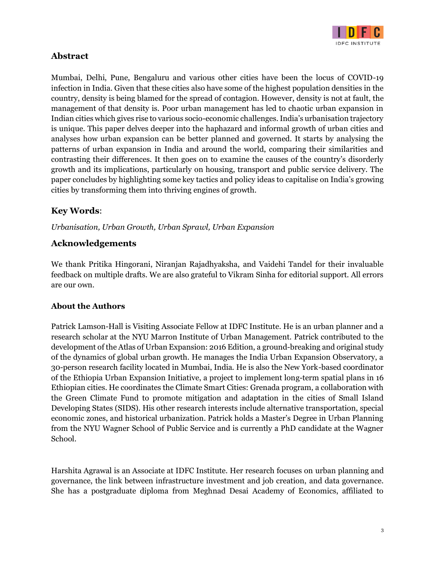

# **Abstract**

Mumbai, Delhi, Pune, Bengaluru and various other cities have been the locus of COVID-19 infection in India. Given that these cities also have some of the highest population densities in the country, density is being blamed for the spread of contagion. However, density is not at fault, the management of that density is. Poor urban management has led to chaotic urban expansion in Indian cities which gives rise to various socio-economic challenges. India's urbanisation trajectory is unique. This paper delves deeper into the haphazard and informal growth of urban cities and analyses how urban expansion can be better planned and governed. It starts by analysing the patterns of urban expansion in India and around the world, comparing their similarities and contrasting their differences. It then goes on to examine the causes of the country's disorderly growth and its implications, particularly on housing, transport and public service delivery. The paper concludes by highlighting some key tactics and policy ideas to capitalise on India's growing cities by transforming them into thriving engines of growth.

# **Key Words**:

*Urbanisation, Urban Growth, Urban Sprawl, Urban Expansion*

## **Acknowledgements**

We thank Pritika Hingorani, Niranjan Rajadhyaksha, and Vaidehi Tandel for their invaluable feedback on multiple drafts. We are also grateful to Vikram Sinha for editorial support. All errors are our own.

## **About the Authors**

Patrick Lamson-Hall is Visiting Associate Fellow at IDFC Institute. He is an urban planner and a research scholar at the NYU Marron Institute of Urban Management. Patrick contributed to the development of the Atlas of Urban Expansion: 2016 Edition, a ground-breaking and original study of the dynamics of global urban growth. He manages the India Urban Expansion Observatory, a 30-person research facility located in Mumbai, India. He is also the New York-based coordinator of the Ethiopia Urban Expansion Initiative, a project to implement long-term spatial plans in 16 Ethiopian cities. He coordinates the Climate Smart Cities: Grenada program, a collaboration with the Green Climate Fund to promote mitigation and adaptation in the cities of Small Island Developing States (SIDS). His other research interests include alternative transportation, special economic zones, and historical urbanization. Patrick holds a Master's Degree in Urban Planning from the NYU Wagner School of Public Service and is currently a PhD candidate at the Wagner School.

Harshita Agrawal is an Associate at IDFC Institute. Her research focuses on urban planning and governance, the link between infrastructure investment and job creation, and data governance. She has a postgraduate diploma from Meghnad Desai Academy of Economics, affiliated to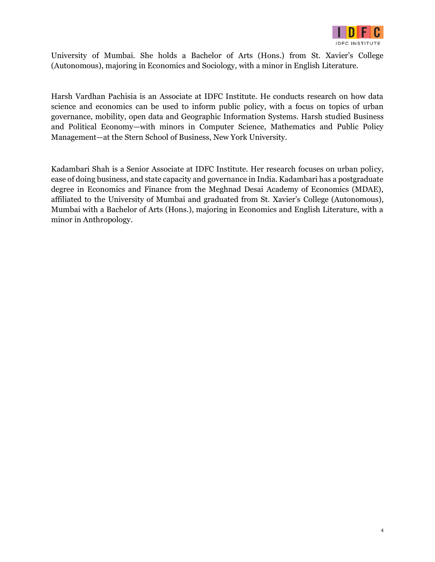

University of Mumbai. She holds a Bachelor of Arts (Hons.) from St. Xavier's College (Autonomous), majoring in Economics and Sociology, with a minor in English Literature.

Harsh Vardhan Pachisia is an Associate at IDFC Institute. He conducts research on how data science and economics can be used to inform public policy, with a focus on topics of urban governance, mobility, open data and Geographic Information Systems. Harsh studied Business and Political Economy—with minors in Computer Science, Mathematics and Public Policy Management—at the Stern School of Business, New York University.

Kadambari Shah is a Senior Associate at IDFC Institute. Her research focuses on urban policy, ease of doing business, and state capacity and governance in India. Kadambari has a postgraduate degree in Economics and Finance from the Meghnad Desai Academy of Economics (MDAE), affiliated to the University of Mumbai and graduated from St. Xavier's College (Autonomous), Mumbai with a Bachelor of Arts (Hons.), majoring in Economics and English Literature, with a minor in Anthropology.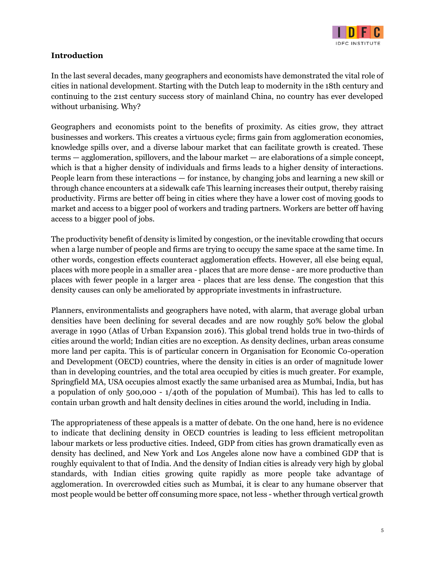

#### **Introduction**

In the last several decades, many geographers and economists have demonstrated the vital role of cities in national development. Starting with the Dutch leap to modernity in the 18th century and continuing to the 21st century success story of mainland China, no country has ever developed without urbanising. Why?

Geographers and economists point to the benefits of proximity. As cities grow, they attract businesses and workers. This creates a virtuous cycle; firms gain from agglomeration economies, knowledge spills over, and a diverse labour market that can facilitate growth is created. These terms — agglomeration, spillovers, and the labour market — are elaborations of a simple concept, which is that a higher density of individuals and firms leads to a higher density of interactions. People learn from these interactions — for instance, by changing jobs and learning a new skill or through chance encounters at a sidewalk cafe This learning increases their output, thereby raising productivity. Firms are better off being in cities where they have a lower cost of moving goods to market and access to a bigger pool of workers and trading partners. Workers are better off having access to a bigger pool of jobs.

The productivity benefit of density is limited by congestion, or the inevitable crowding that occurs when a large number of people and firms are trying to occupy the same space at the same time. In other words, congestion effects counteract agglomeration effects. However, all else being equal, places with more people in a smaller area - places that are more dense - are more productive than places with fewer people in a larger area - places that are less dense. The congestion that this density causes can only be ameliorated by appropriate investments in infrastructure.

Planners, environmentalists and geographers have noted, with alarm, that average global urban densities have been declining for several decades and are now roughly 50% below the global average in 1990 (Atlas of Urban Expansion 2016). This global trend holds true in two-thirds of cities around the world; Indian cities are no exception. As density declines, urban areas consume more land per capita. This is of particular concern in Organisation for Economic Co-operation and Development (OECD) countries, where the density in cities is an order of magnitude lower than in developing countries, and the total area occupied by cities is much greater. For example, Springfield MA, USA occupies almost exactly the same urbanised area as Mumbai, India, but has a population of only 500,000 - 1/40th of the population of Mumbai). This has led to calls to contain urban growth and halt density declines in cities around the world, including in India.

The appropriateness of these appeals is a matter of debate. On the one hand, here is no evidence to indicate that declining density in OECD countries is leading to less efficient metropolitan labour markets or less productive cities. Indeed, GDP from cities has grown dramatically even as density has declined, and New York and Los Angeles alone now have a combined GDP that is roughly equivalent to that of India. And the density of Indian cities is already very high by global standards, with Indian cities growing quite rapidly as more people take advantage of agglomeration. In overcrowded cities such as Mumbai, it is clear to any humane observer that most people would be better off consuming more space, not less - whether through vertical growth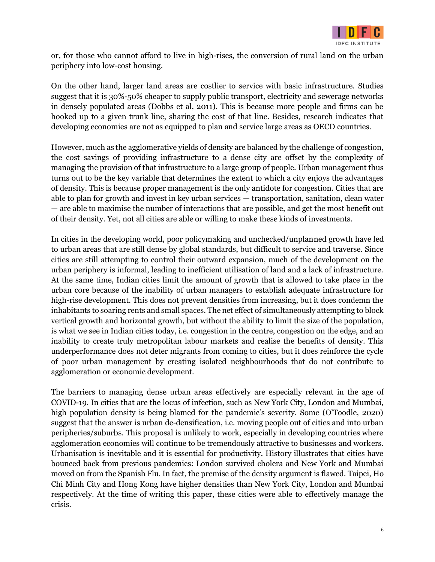

or, for those who cannot afford to live in high-rises, the conversion of rural land on the urban periphery into low-cost housing.

On the other hand, larger land areas are costlier to service with basic infrastructure. Studies suggest that it is 30%-50% cheaper to supply public transport, electricity and sewerage networks in densely populated areas (Dobbs et al, 2011). This is because more people and firms can be hooked up to a given trunk line, sharing the cost of that line. Besides, research indicates that developing economies are not as equipped to plan and service large areas as OECD countries.

However, much as the agglomerative yields of density are balanced by the challenge of congestion, the cost savings of providing infrastructure to a dense city are offset by the complexity of managing the provision of that infrastructure to a large group of people. Urban management thus turns out to be the key variable that determines the extent to which a city enjoys the advantages of density. This is because proper management is the only antidote for congestion. Cities that are able to plan for growth and invest in key urban services — transportation, sanitation, clean water — are able to maximise the number of interactions that are possible, and get the most benefit out of their density. Yet, not all cities are able or willing to make these kinds of investments.

In cities in the developing world, poor policymaking and unchecked/unplanned growth have led to urban areas that are still dense by global standards, but difficult to service and traverse. Since cities are still attempting to control their outward expansion, much of the development on the urban periphery is informal, leading to inefficient utilisation of land and a lack of infrastructure. At the same time, Indian cities limit the amount of growth that is allowed to take place in the urban core because of the inability of urban managers to establish adequate infrastructure for high-rise development. This does not prevent densities from increasing, but it does condemn the inhabitants to soaring rents and small spaces. The net effect of simultaneously attempting to block vertical growth and horizontal growth, but without the ability to limit the size of the population, is what we see in Indian cities today, i.e. congestion in the centre, congestion on the edge, and an inability to create truly metropolitan labour markets and realise the benefits of density. This underperformance does not deter migrants from coming to cities, but it does reinforce the cycle of poor urban management by creating isolated neighbourhoods that do not contribute to agglomeration or economic development.

The barriers to managing dense urban areas effectively are especially relevant in the age of COVID-19. In cities that are the locus of infection, such as New York City, London and Mumbai, high population density is being blamed for the pandemic's severity. Some (O'Toodle, 2020) suggest that the answer is urban de-densification, i.e. moving people out of cities and into urban peripheries/suburbs. This proposal is unlikely to work, especially in developing countries where agglomeration economies will continue to be tremendously attractive to businesses and workers. Urbanisation is inevitable and it is essential for productivity. History illustrates that cities have bounced back from previous pandemics: London survived cholera and New York and Mumbai moved on from the Spanish Flu. In fact, the premise of the density argument is flawed. Taipei, Ho Chi Minh City and Hong Kong have higher densities than New York City, London and Mumbai respectively. At the time of writing this paper, these cities were able to effectively manage the crisis.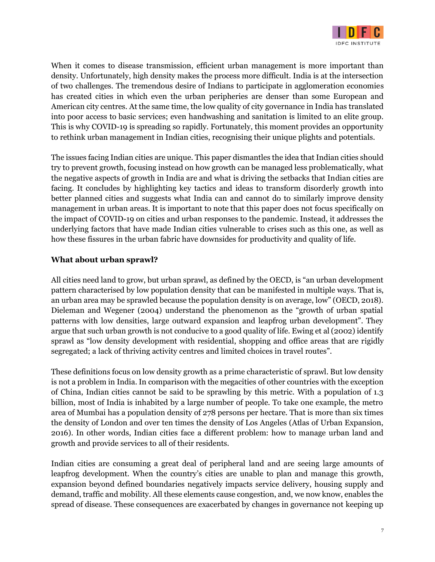

When it comes to disease transmission, efficient urban management is more important than density. Unfortunately, high density makes the process more difficult. India is at the intersection of two challenges. The tremendous desire of Indians to participate in agglomeration economies has created cities in which even the urban peripheries are denser than some European and American city centres. At the same time, the low quality of city governance in India has translated into poor access to basic services; even handwashing and sanitation is limited to an elite group. This is why COVID-19 is spreading so rapidly. Fortunately, this moment provides an opportunity to rethink urban management in Indian cities, recognising their unique plights and potentials.

The issues facing Indian cities are unique. This paper dismantles the idea that Indian cities should try to prevent growth, focusing instead on how growth can be managed less problematically, what the negative aspects of growth in India are and what is driving the setbacks that Indian cities are facing. It concludes by highlighting key tactics and ideas to transform disorderly growth into better planned cities and suggests what India can and cannot do to similarly improve density management in urban areas. It is important to note that this paper does not focus specifically on the impact of COVID-19 on cities and urban responses to the pandemic. Instead, it addresses the underlying factors that have made Indian cities vulnerable to crises such as this one, as well as how these fissures in the urban fabric have downsides for productivity and quality of life.

#### **What about urban sprawl?**

All cities need land to grow, but urban sprawl, as defined by the OECD, is "an urban development pattern characterised by low population density that can be manifested in multiple ways. That is, an urban area may be sprawled because the population density is on average, low" (OECD, 2018). Dieleman and Wegener (2004) understand the phenomenon as the "growth of urban spatial patterns with low densities, large outward expansion and leapfrog urban development". They argue that such urban growth is not conducive to a good quality of life. Ewing et al (2002) identify sprawl as "low density development with residential, shopping and office areas that are rigidly segregated; a lack of thriving activity centres and limited choices in travel routes".

These definitions focus on low density growth as a prime characteristic of sprawl. But low density is not a problem in India. In comparison with the megacities of other countries with the exception of China, Indian cities cannot be said to be sprawling by this metric. With a population of 1.3 billion, most of India is inhabited by a large number of people. To take one example, the metro area of Mumbai has a population density of 278 persons per hectare. That is more than six times the density of London and over ten times the density of Los Angeles (Atlas of Urban Expansion, 2016). In other words, Indian cities face a different problem: how to manage urban land and growth and provide services to all of their residents.

Indian cities are consuming a great deal of peripheral land and are seeing large amounts of leapfrog development. When the country's cities are unable to plan and manage this growth, expansion beyond defined boundaries negatively impacts service delivery, housing supply and demand, traffic and mobility. All these elements cause congestion, and, we now know, enables the spread of disease. These consequences are exacerbated by changes in governance not keeping up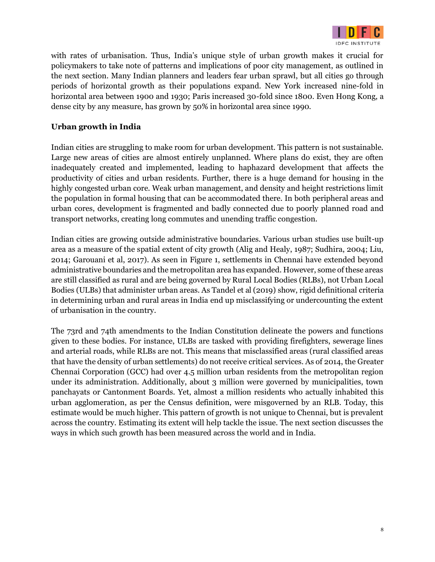

with rates of urbanisation. Thus, India's unique style of urban growth makes it crucial for policymakers to take note of patterns and implications of poor city management, as outlined in the next section. Many Indian planners and leaders fear urban sprawl, but all cities go through periods of horizontal growth as their populations expand. New York increased nine-fold in horizontal area between 1900 and 1930; Paris increased 30-fold since 1800. Even Hong Kong, a dense city by any measure, has grown by 50% in horizontal area since 1990.

## **Urban growth in India**

Indian cities are struggling to make room for urban development. This pattern is not sustainable. Large new areas of cities are almost entirely unplanned. Where plans do exist, they are often inadequately created and implemented, leading to haphazard development that affects the productivity of cities and urban residents. Further, there is a huge demand for housing in the highly congested urban core. Weak urban management, and density and height restrictions limit the population in formal housing that can be accommodated there. In both peripheral areas and urban cores, development is fragmented and badly connected due to poorly planned road and transport networks, creating long commutes and unending traffic congestion.

Indian cities are growing outside administrative boundaries. Various urban studies use built-up area as a measure of the spatial extent of city growth (Alig and Healy, 1987; Sudhira, 2004; Liu, 2014; Garouani et al, 2017). As seen in Figure 1, settlements in Chennai have extended beyond administrative boundaries and the metropolitan area has expanded. However, some of these areas are still classified as rural and are being governed by Rural Local Bodies (RLBs), not Urban Local Bodies (ULBs) that administer urban areas. As Tandel et al (2019) show, rigid definitional criteria in determining urban and rural areas in India end up misclassifying or undercounting the extent of urbanisation in the country.

The 73rd and 74th amendments to the Indian Constitution delineate the powers and functions given to these bodies. For instance, ULBs are tasked with providing firefighters, sewerage lines and arterial roads, while RLBs are not. This means that misclassified areas (rural classified areas that have the density of urban settlements) do not receive critical services. As of 2014, the Greater Chennai Corporation (GCC) had over 4.5 million urban residents from the metropolitan region under its administration. Additionally, about 3 million were governed by municipalities, town panchayats or Cantonment Boards. Yet, almost a million residents who actually inhabited this urban agglomeration, as per the Census definition, were misgoverned by an RLB. Today, this estimate would be much higher. This pattern of growth is not unique to Chennai, but is prevalent across the country. Estimating its extent will help tackle the issue. The next section discusses the ways in which such growth has been measured across the world and in India.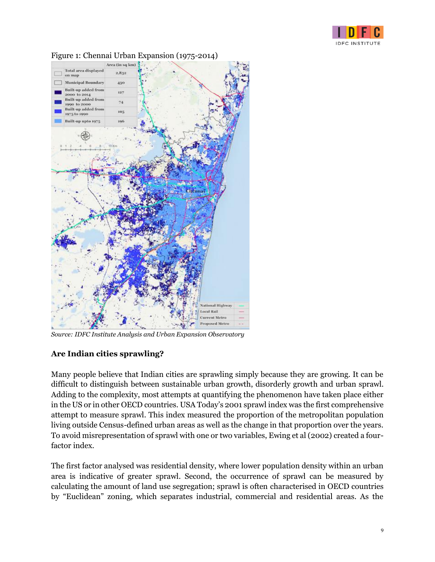



#### Figure 1: Chennai Urban Expansion (1975-2014)

*Source: IDFC Institute Analysis and Urban Expansion Observatory*

## **Are Indian cities sprawling?**

Many people believe that Indian cities are sprawling simply because they are growing. It can be difficult to distinguish between sustainable urban growth, disorderly growth and urban sprawl. Adding to the complexity, most attempts at quantifying the phenomenon have taken place either in the US or in other OECD countries. USA Today's 2001 sprawl index was the first comprehensive attempt to measure sprawl. This index measured the proportion of the metropolitan population living outside Census-defined urban areas as well as the change in that proportion over the years. To avoid misrepresentation of sprawl with one or two variables, Ewing et al (2002) created a fourfactor index.

The first factor analysed was residential density, where lower population density within an urban area is indicative of greater sprawl. Second, the occurrence of sprawl can be measured by calculating the amount of land use segregation; sprawl is often characterised in OECD countries by "Euclidean" zoning, which separates industrial, commercial and residential areas. As the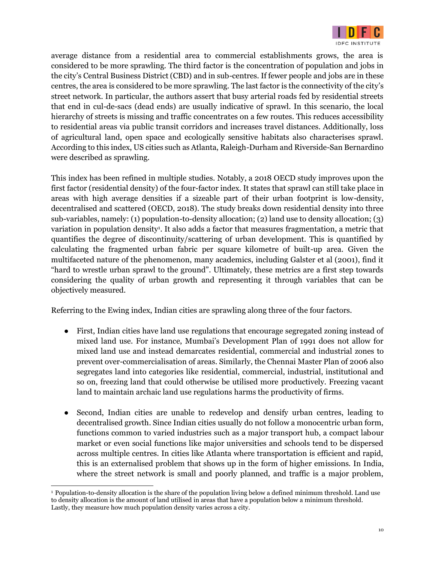

average distance from a residential area to commercial establishments grows, the area is considered to be more sprawling. The third factor is the concentration of population and jobs in the city's Central Business District (CBD) and in sub-centres. If fewer people and jobs are in these centres, the area is considered to be more sprawling. The last factor is the connectivity of the city's street network. In particular, the authors assert that busy arterial roads fed by residential streets that end in cul-de-sacs (dead ends) are usually indicative of sprawl. In this scenario, the local hierarchy of streets is missing and traffic concentrates on a few routes. This reduces accessibility to residential areas via public transit corridors and increases travel distances. Additionally, loss of agricultural land, open space and ecologically sensitive habitats also characterises sprawl. According to this index, US cities such as Atlanta, Raleigh-Durham and Riverside-San Bernardino were described as sprawling.

This index has been refined in multiple studies. Notably, a 2018 OECD study improves upon the first factor (residential density) of the four-factor index. It states that sprawl can still take place in areas with high average densities if a sizeable part of their urban footprint is low-density, decentralised and scattered (OECD, 2018). The study breaks down residential density into three sub-variables, namely: (1) population-to-density allocation; (2) land use to density allocation; (3) variation in population density<sup>1</sup>. It also adds a factor that measures fragmentation, a metric that quantifies the degree of discontinuity/scattering of urban development. This is quantified by calculating the fragmented urban fabric per square kilometre of built-up area. Given the multifaceted nature of the phenomenon, many academics, including Galster et al (2001), find it "hard to wrestle urban sprawl to the ground". Ultimately, these metrics are a first step towards considering the quality of urban growth and representing it through variables that can be objectively measured.

Referring to the Ewing index, Indian cities are sprawling along three of the four factors.

- First, Indian cities have land use regulations that encourage segregated zoning instead of mixed land use. For instance, Mumbai's Development Plan of 1991 does not allow for mixed land use and instead demarcates residential, commercial and industrial zones to prevent over-commercialisation of areas. Similarly, the Chennai Master Plan of 2006 also segregates land into categories like residential, commercial, industrial, institutional and so on, freezing land that could otherwise be utilised more productively. Freezing vacant land to maintain archaic land use regulations harms the productivity of firms.
- Second, Indian cities are unable to redevelop and densify urban centres, leading to decentralised growth. Since Indian cities usually do not follow a monocentric urban form, functions common to varied industries such as a major transport hub, a compact labour market or even social functions like major universities and schools tend to be dispersed across multiple centres. In cities like Atlanta where transportation is efficient and rapid, this is an externalised problem that shows up in the form of higher emissions. In India, where the street network is small and poorly planned, and traffic is a major problem,

<sup>1</sup>Population-to-density allocation is the share of the population living below a defined minimum threshold. Land use to density allocation is the amount of land utilised in areas that have a population below a minimum threshold. Lastly, they measure how much population density varies across a city.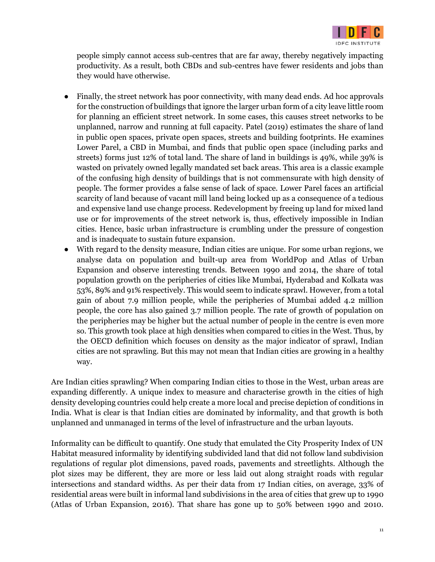

people simply cannot access sub-centres that are far away, thereby negatively impacting productivity. As a result, both CBDs and sub-centres have fewer residents and jobs than they would have otherwise.

- Finally, the street network has poor connectivity, with many dead ends. Ad hoc approvals for the construction of buildings that ignore the larger urban form of a city leave little room for planning an efficient street network. In some cases, this causes street networks to be unplanned, narrow and running at full capacity. Patel (2019) estimates the share of land in public open spaces, private open spaces, streets and building footprints. He examines Lower Parel, a CBD in Mumbai, and finds that public open space (including parks and streets) forms just 12% of total land. The share of land in buildings is 49%, while 39% is wasted on privately owned legally mandated set back areas. This area is a classic example of the confusing high density of buildings that is not commensurate with high density of people. The former provides a false sense of lack of space. Lower Parel faces an artificial scarcity of land because of vacant mill land being locked up as a consequence of a tedious and expensive land use change process. Redevelopment by freeing up land for mixed land use or for improvements of the street network is, thus, effectively impossible in Indian cities. Hence, basic urban infrastructure is crumbling under the pressure of congestion and is inadequate to sustain future expansion.
- With regard to the density measure, Indian cities are unique. For some urban regions, we analyse data on population and built-up area from WorldPop and Atlas of Urban Expansion and observe interesting trends. Between 1990 and 2014, the share of total population growth on the peripheries of cities like Mumbai, Hyderabad and Kolkata was 53%, 89% and 91% respectively. This would seem to indicate sprawl. However, from a total gain of about 7.9 million people, while the peripheries of Mumbai added 4.2 million people, the core has also gained 3.7 million people. The rate of growth of population on the peripheries may be higher but the actual number of people in the centre is even more so. This growth took place at high densities when compared to cities in the West. Thus, by the OECD definition which focuses on density as the major indicator of sprawl, Indian cities are not sprawling. But this may not mean that Indian cities are growing in a healthy way.

Are Indian cities sprawling? When comparing Indian cities to those in the West, urban areas are expanding differently. A unique index to measure and characterise growth in the cities of high density developing countries could help create a more local and precise depiction of conditions in India. What is clear is that Indian cities are dominated by informality, and that growth is both unplanned and unmanaged in terms of the level of infrastructure and the urban layouts.

Informality can be difficult to quantify. One study that emulated the City Prosperity Index of UN Habitat measured informality by identifying subdivided land that did not follow land subdivision regulations of regular plot dimensions, paved roads, pavements and streetlights. Although the plot sizes may be different, they are more or less laid out along straight roads with regular intersections and standard widths. As per their data from 17 Indian cities, on average, 33% of residential areas were built in informal land subdivisions in the area of cities that grew up to 1990 (Atlas of Urban Expansion, 2016). That share has gone up to 50% between 1990 and 2010.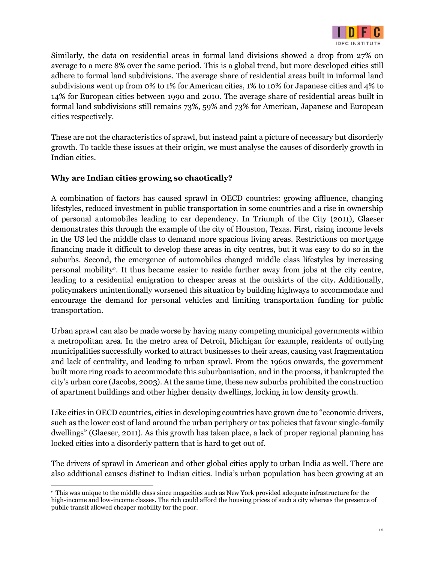

Similarly, the data on residential areas in formal land divisions showed a drop from 27% on average to a mere 8% over the same period. This is a global trend, but more developed cities still adhere to formal land subdivisions. The average share of residential areas built in informal land subdivisions went up from 0% to 1% for American cities, 1% to 10% for Japanese cities and 4% to 14% for European cities between 1990 and 2010. The average share of residential areas built in formal land subdivisions still remains 73%, 59% and 73% for American, Japanese and European cities respectively.

These are not the characteristics of sprawl, but instead paint a picture of necessary but disorderly growth. To tackle these issues at their origin, we must analyse the causes of disorderly growth in Indian cities.

## **Why are Indian cities growing so chaotically?**

A combination of factors has caused sprawl in OECD countries: growing affluence, changing lifestyles, reduced investment in public transportation in some countries and a rise in ownership of personal automobiles leading to car dependency. In Triumph of the City (2011), Glaeser demonstrates this through the example of the city of Houston, Texas. First, rising income levels in the US led the middle class to demand more spacious living areas. Restrictions on mortgage financing made it difficult to develop these areas in city centres, but it was easy to do so in the suburbs. Second, the emergence of automobiles changed middle class lifestyles by increasing personal mobility<sup>2</sup> . It thus became easier to reside further away from jobs at the city centre, leading to a residential emigration to cheaper areas at the outskirts of the city. Additionally, policymakers unintentionally worsened this situation by building highways to accommodate and encourage the demand for personal vehicles and limiting transportation funding for public transportation.

Urban sprawl can also be made worse by having many competing municipal governments within a metropolitan area. In the metro area of Detroit, Michigan for example, residents of outlying municipalities successfully worked to attract businesses to their areas, causing vast fragmentation and lack of centrality, and leading to urban sprawl. From the 1960s onwards, the government built more ring roads to accommodate this suburbanisation, and in the process, it bankrupted the city's urban core (Jacobs, 2003). At the same time, these new suburbs prohibited the construction of apartment buildings and other higher density dwellings, locking in low density growth.

Like cities in OECD countries, cities in developing countries have grown due to "economic drivers, such as the lower cost of land around the urban periphery or tax policies that favour single-family dwellings" (Glaeser, 2011). As this growth has taken place, a lack of proper regional planning has locked cities into a disorderly pattern that is hard to get out of.

The drivers of sprawl in American and other global cities apply to urban India as well. There are also additional causes distinct to Indian cities. India's urban population has been growing at an

<sup>2</sup>This was unique to the middle class since megacities such as New York provided adequate infrastructure for the high-income and low-income classes. The rich could afford the housing prices of such a city whereas the presence of public transit allowed cheaper mobility for the poor.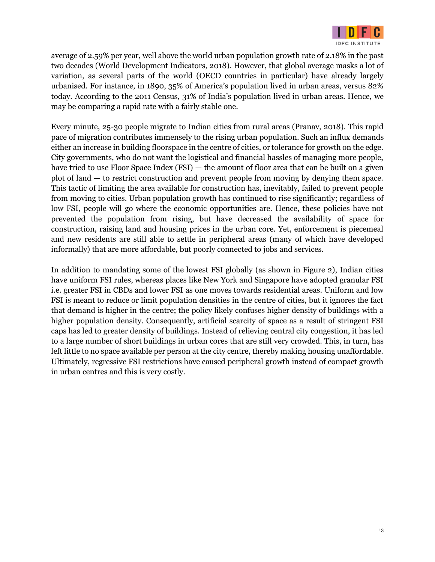

average of 2.59% per year, well above the world urban population growth rate of 2.18% in the past two decades (World Development Indicators, 2018). However, that global average masks a lot of variation, as several parts of the world (OECD countries in particular) have already largely urbanised. For instance, in 1890, 35% of America's population lived in urban areas, versus 82% today. According to the 2011 Census, 31% of India's population lived in urban areas. Hence, we may be comparing a rapid rate with a fairly stable one.

Every minute, 25-30 people migrate to Indian cities from rural areas (Pranav, 2018). This rapid pace of migration contributes immensely to the rising urban population. Such an influx demands either an increase in building floorspace in the centre of cities, or tolerance for growth on the edge. City governments, who do not want the logistical and financial hassles of managing more people, have tried to use Floor Space Index (FSI) — the amount of floor area that can be built on a given plot of land — to restrict construction and prevent people from moving by denying them space. This tactic of limiting the area available for construction has, inevitably, failed to prevent people from moving to cities. Urban population growth has continued to rise significantly; regardless of low FSI, people will go where the economic opportunities are. Hence, these policies have not prevented the population from rising, but have decreased the availability of space for construction, raising land and housing prices in the urban core. Yet, enforcement is piecemeal and new residents are still able to settle in peripheral areas (many of which have developed informally) that are more affordable, but poorly connected to jobs and services.

In addition to mandating some of the lowest FSI globally (as shown in Figure 2), Indian cities have uniform FSI rules, whereas places like New York and Singapore have adopted granular FSI i.e. greater FSI in CBDs and lower FSI as one moves towards residential areas. Uniform and low FSI is meant to reduce or limit population densities in the centre of cities, but it ignores the fact that demand is higher in the centre; the policy likely confuses higher density of buildings with a higher population density. Consequently, artificial scarcity of space as a result of stringent FSI caps has led to greater density of buildings. Instead of relieving central city congestion, it has led to a large number of short buildings in urban cores that are still very crowded. This, in turn, has left little to no space available per person at the city centre, thereby making housing unaffordable. Ultimately, regressive FSI restrictions have caused peripheral growth instead of compact growth in urban centres and this is very costly.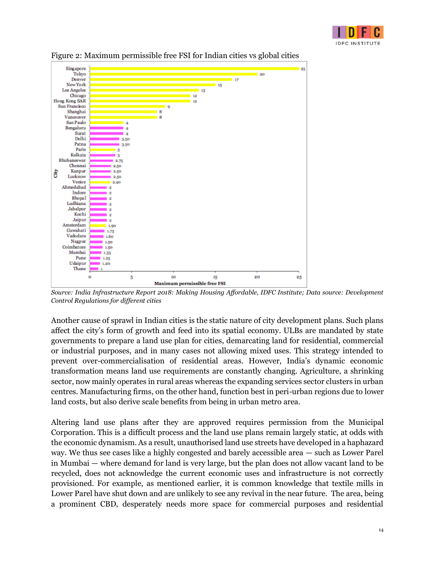



Figure 2: Maximum permissible free FSI for Indian cities vs global cities

*Source: India Infrastructure Report 2018: Making Housing Affordable, IDFC Institute; Data source: Development Control Regulations for different cities*

Another cause of sprawl in Indian cities is the static nature of city development plans. Such plans affect the city's form of growth and feed into its spatial economy. ULBs are mandated by state governments to prepare a land use plan for cities, demarcating land for residential, commercial or industrial purposes, and in many cases not allowing mixed uses. This strategy intended to prevent over-commercialisation of residential areas. However, India's dynamic economic transformation means land use requirements are constantly changing. Agriculture, a shrinking sector, now mainly operates in rural areas whereas the expanding services sector clusters in urban centres. Manufacturing firms, on the other hand, function best in peri-urban regions due to lower land costs, but also derive scale benefits from being in urban metro area.

Altering land use plans after they are approved requires permission from the Municipal Corporation. This is a difficult process and the land use plans remain largely static, at odds with the economic dynamism. As a result, unauthorised land use streets have developed in a haphazard way. We thus see cases like a highly congested and barely accessible area — such as Lower Parel in Mumbai — where demand for land is very large, but the plan does not allow vacant land to be recycled, does not acknowledge the current economic uses and infrastructure is not correctly provisioned. For example, as mentioned earlier, it is common knowledge that textile mills in Lower Parel have shut down and are unlikely to see any revival in the near future. The area, being a prominent CBD, desperately needs more space for commercial purposes and residential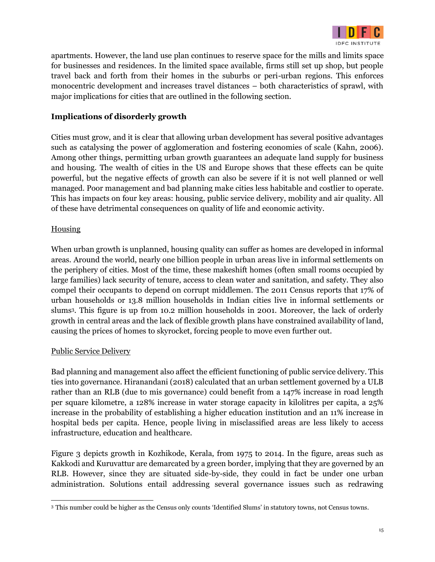

apartments. However, the land use plan continues to reserve space for the mills and limits space for businesses and residences. In the limited space available, firms still set up shop, but people travel back and forth from their homes in the suburbs or peri-urban regions. This enforces monocentric development and increases travel distances – both characteristics of sprawl, with major implications for cities that are outlined in the following section.

## **Implications of disorderly growth**

Cities must grow, and it is clear that allowing urban development has several positive advantages such as catalysing the power of agglomeration and fostering economies of scale (Kahn, 2006). Among other things, permitting urban growth guarantees an adequate land supply for business and housing. The wealth of cities in the US and Europe shows that these effects can be quite powerful, but the negative effects of growth can also be severe if it is not well planned or well managed. Poor management and bad planning make cities less habitable and costlier to operate. This has impacts on four key areas: housing, public service delivery, mobility and air quality. All of these have detrimental consequences on quality of life and economic activity.

#### **Housing**

When urban growth is unplanned, housing quality can suffer as homes are developed in informal areas. Around the world, nearly one billion people in urban areas live in informal settlements on the periphery of cities. Most of the time, these makeshift homes (often small rooms occupied by large families) lack security of tenure, access to clean water and sanitation, and safety. They also compel their occupants to depend on corrupt middlemen. The 2011 Census reports that 17% of urban households or 13.8 million households in Indian cities live in informal settlements or slums<sup>3</sup> . This figure is up from 10.2 million households in 2001. Moreover, the lack of orderly growth in central areas and the lack of flexible growth plans have constrained availability of land, causing the prices of homes to skyrocket, forcing people to move even further out.

#### Public Service Delivery

Bad planning and management also affect the efficient functioning of public service delivery. This ties into governance. Hiranandani (2018) calculated that an urban settlement governed by a ULB rather than an RLB (due to mis governance) could benefit from a 147% increase in road length per square kilometre, a 128% increase in water storage capacity in kilolitres per capita, a 25% increase in the probability of establishing a higher education institution and an 11% increase in hospital beds per capita. Hence, people living in misclassified areas are less likely to access infrastructure, education and healthcare.

Figure 3 depicts growth in Kozhikode, Kerala, from 1975 to 2014. In the figure, areas such as Kakkodi and Kuruvattur are demarcated by a green border, implying that they are governed by an RLB. However, since they are situated side-by-side, they could in fact be under one urban administration. Solutions entail addressing several governance issues such as redrawing

<sup>3</sup> This number could be higher as the Census only counts 'Identified Slums' in statutory towns, not Census towns.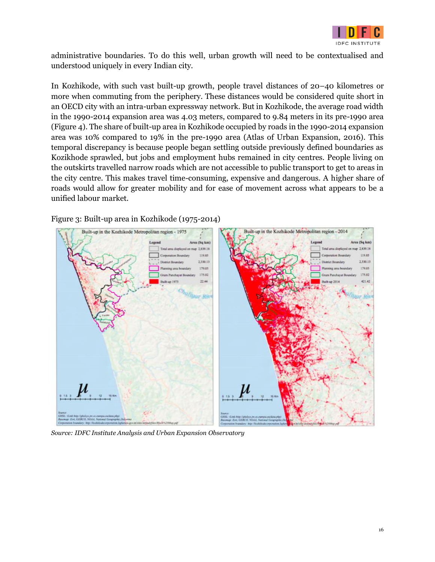

administrative boundaries. To do this well, urban growth will need to be contextualised and understood uniquely in every Indian city.

In Kozhikode, with such vast built-up growth, people travel distances of 20–40 kilometres or more when commuting from the periphery. These distances would be considered quite short in an OECD city with an intra-urban expressway network. But in Kozhikode, the average road width in the 1990-2014 expansion area was 4.03 meters, compared to 9.84 meters in its pre-1990 area (Figure 4). The share of built-up area in Kozhikode occupied by roads in the 1990-2014 expansion area was 10% compared to 19% in the pre-1990 area (Atlas of Urban Expansion, 2016). This temporal discrepancy is because people began settling outside previously defined boundaries as Kozikhode sprawled, but jobs and employment hubs remained in city centres. People living on the outskirts travelled narrow roads which are not accessible to public transport to get to areas in the city centre. This makes travel time-consuming, expensive and dangerous. A higher share of roads would allow for greater mobility and for ease of movement across what appears to be a unified labour market.

Figure 3: Built-up area in Kozhikode (1975-2014)



*Source: IDFC Institute Analysis and Urban Expansion Observatory*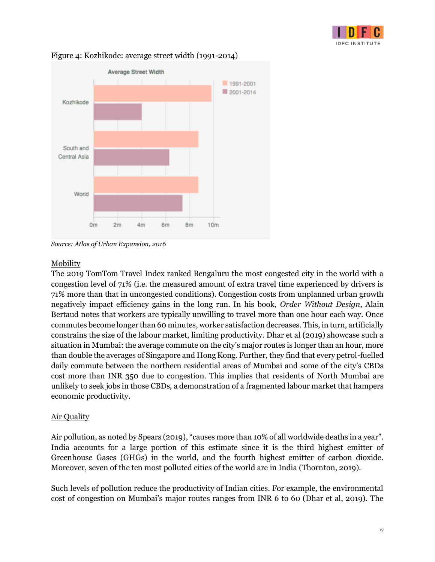



#### Figure 4: Kozhikode: average street width (1991-2014)

## Mobility

The 2019 TomTom Travel Index ranked Bengaluru the most congested city in the world with a congestion level of 71% (i.e. the measured amount of extra travel time experienced by drivers is 71% more than that in uncongested conditions). Congestion costs from unplanned urban growth negatively impact efficiency gains in the long run. In his book, *Order Without Design*, Alain Bertaud notes that workers are typically unwilling to travel more than one hour each way. Once commutes become longer than 60 minutes, worker satisfaction decreases. This, in turn, artificially constrains the size of the labour market, limiting productivity. Dhar et al (2019) showcase such a situation in Mumbai: the average commute on the city's major routes is longer than an hour, more than double the averages of Singapore and Hong Kong. Further, they find that every petrol-fuelled daily commute between the northern residential areas of Mumbai and some of the city's CBDs cost more than INR 350 due to congestion. This implies that residents of North Mumbai are unlikely to seek jobs in those CBDs, a demonstration of a fragmented labour market that hampers economic productivity.

## Air Quality

Air pollution, as noted by Spears (2019), "causes more than 10% of all worldwide deaths in a year". India accounts for a large portion of this estimate since it is the third highest emitter of Greenhouse Gases (GHGs) in the world, and the fourth highest emitter of carbon dioxide. Moreover, seven of the ten most polluted cities of the world are in India (Thornton, 2019).

Such levels of pollution reduce the productivity of Indian cities. For example, the environmental cost of congestion on Mumbai's major routes ranges from INR 6 to 60 (Dhar et al, 2019). The

*Source: Atlas of Urban Expansion, 2016*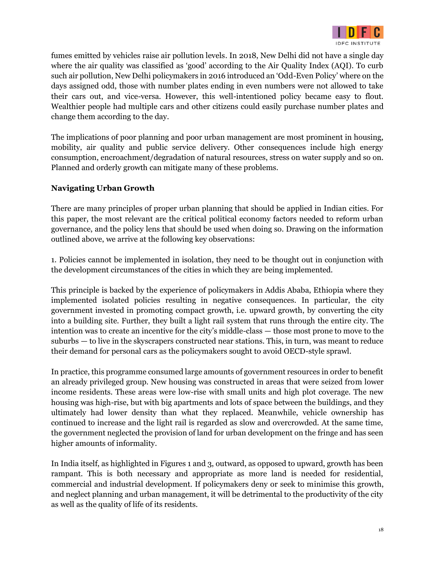

fumes emitted by vehicles raise air pollution levels. In 2018, New Delhi did not have a single day where the air quality was classified as 'good' according to the Air Quality Index (AQI). To curb such air pollution, New Delhi policymakers in 2016 introduced an 'Odd-Even Policy' where on the days assigned odd, those with number plates ending in even numbers were not allowed to take their cars out, and vice-versa. However, this well-intentioned policy became easy to flout. Wealthier people had multiple cars and other citizens could easily purchase number plates and change them according to the day.

The implications of poor planning and poor urban management are most prominent in housing, mobility, air quality and public service delivery. Other consequences include high energy consumption, encroachment/degradation of natural resources, stress on water supply and so on. Planned and orderly growth can mitigate many of these problems.

## **Navigating Urban Growth**

There are many principles of proper urban planning that should be applied in Indian cities. For this paper, the most relevant are the critical political economy factors needed to reform urban governance, and the policy lens that should be used when doing so. Drawing on the information outlined above, we arrive at the following key observations:

1. Policies cannot be implemented in isolation, they need to be thought out in conjunction with the development circumstances of the cities in which they are being implemented.

This principle is backed by the experience of policymakers in Addis Ababa, Ethiopia where they implemented isolated policies resulting in negative consequences. In particular, the city government invested in promoting compact growth, i.e. upward growth, by converting the city into a building site. Further, they built a light rail system that runs through the entire city. The intention was to create an incentive for the city's middle-class — those most prone to move to the suburbs — to live in the skyscrapers constructed near stations. This, in turn, was meant to reduce their demand for personal cars as the policymakers sought to avoid OECD-style sprawl.

In practice, this programme consumed large amounts of government resources in order to benefit an already privileged group. New housing was constructed in areas that were seized from lower income residents. These areas were low-rise with small units and high plot coverage. The new housing was high-rise, but with big apartments and lots of space between the buildings, and they ultimately had lower density than what they replaced. Meanwhile, vehicle ownership has continued to increase and the light rail is regarded as slow and overcrowded. At the same time, the government neglected the provision of land for urban development on the fringe and has seen higher amounts of informality.

In India itself, as highlighted in Figures 1 and 3, outward, as opposed to upward, growth has been rampant. This is both necessary and appropriate as more land is needed for residential, commercial and industrial development. If policymakers deny or seek to minimise this growth, and neglect planning and urban management, it will be detrimental to the productivity of the city as well as the quality of life of its residents.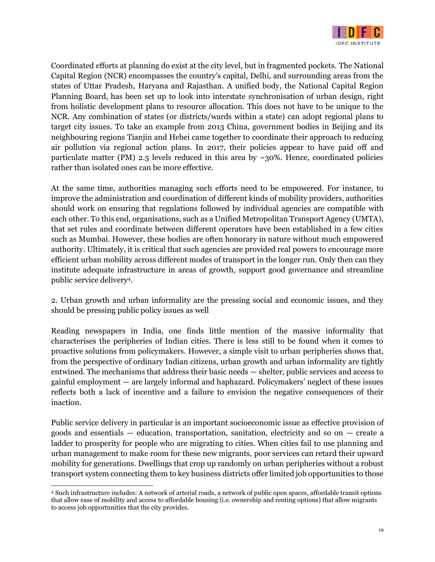

Coordinated efforts at planning do exist at the city level, but in fragmented pockets. The National Capital Region (NCR) encompasses the country's capital, Delhi, and surrounding areas from the states of Uttar Pradesh, Haryana and Rajasthan. A unified body, the National Capital Region Planning Board, has been set up to look into interstate synchronisation of urban design, right from holistic development plans to resource allocation. This does not have to be unique to the NCR. Any combination of states (or districts/wards within a state) can adopt regional plans to target city issues. To take an example from 2013 China, government bodies in Beijing and its neighbouring regions Tianjin and Hebei came together to coordinate their approach to reducing air pollution via regional action plans. In 2017, their policies appear to have paid off and particulate matter (PM) 2.5 levels reduced in this area by  $\sim$ 30%. Hence, coordinated policies rather than isolated ones can be more effective.

At the same time, authorities managing such efforts need to be empowered. For instance, to improve the administration and coordination of different kinds of mobility providers, authorities should work on ensuring that regulations followed by individual agencies are compatible with each other. To this end, organisations, such as a Unified Metropolitan Transport Agency (UMTA), that set rules and coordinate between different operators have been established in a few cities such as Mumbai. However, these bodies are often honorary in nature without much empowered authority. Ultimately, it is critical that such agencies are provided real powers to encourage more efficient urban mobility across different modes of transport in the longer run. Only then can they institute adequate infrastructure in areas of growth, support good governance and streamline public service delivery<sup>4</sup> .

2. Urban growth and urban informality are the pressing social and economic issues, and they should be pressing public policy issues as well

Reading newspapers in India, one finds little mention of the massive informality that characterises the peripheries of Indian cities. There is less still to be found when it comes to proactive solutions from policymakers. However, a simple visit to urban peripheries shows that, from the perspective of ordinary Indian citizens, urban growth and urban informality are tightly entwined. The mechanisms that address their basic needs — shelter, public services and access to gainful employment — are largely informal and haphazard. Policymakers' neglect of these issues reflects both a lack of incentive and a failure to envision the negative consequences of their inaction.

Public service delivery in particular is an important socioeconomic issue as effective provision of goods and essentials  $-$  education, transportation, sanitation, electricity and so on  $-$  create a ladder to prosperity for people who are migrating to cities. When cities fail to use planning and urban management to make room for these new migrants, poor services can retard their upward mobility for generations. Dwellings that crop up randomly on urban peripheries without a robust transport system connecting them to key business districts offer limited job opportunities to those

<sup>4</sup> Such infrastructure includes: A network of arterial roads, a network of public open spaces, affordable transit options that allow ease of mobility and access to affordable housing (i.e. ownership and renting options) that allow migrants to access job opportunities that the city provides.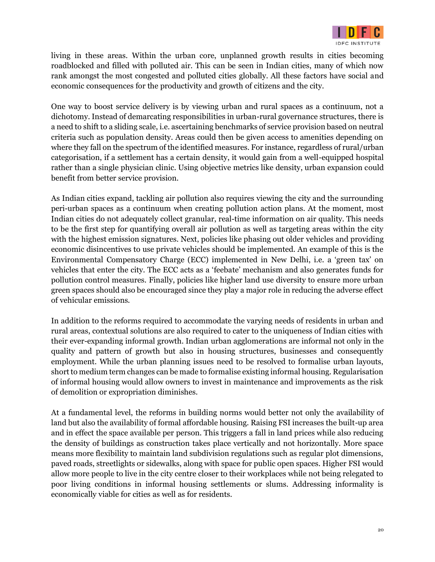

living in these areas. Within the urban core, unplanned growth results in cities becoming roadblocked and filled with polluted air. This can be seen in Indian cities, many of which now rank amongst the most congested and polluted cities globally. All these factors have social and economic consequences for the productivity and growth of citizens and the city.

One way to boost service delivery is by viewing urban and rural spaces as a continuum, not a dichotomy. Instead of demarcating responsibilities in urban-rural governance structures, there is a need to shift to a sliding scale, i.e. ascertaining benchmarks of service provision based on neutral criteria such as population density. Areas could then be given access to amenities depending on where they fall on the spectrum of the identified measures. For instance, regardless of rural/urban categorisation, if a settlement has a certain density, it would gain from a well-equipped hospital rather than a single physician clinic. Using objective metrics like density, urban expansion could benefit from better service provision.

As Indian cities expand, tackling air pollution also requires viewing the city and the surrounding peri-urban spaces as a continuum when creating pollution action plans. At the moment, most Indian cities do not adequately collect granular, real-time information on air quality. This needs to be the first step for quantifying overall air pollution as well as targeting areas within the city with the highest emission signatures. Next, policies like phasing out older vehicles and providing economic disincentives to use private vehicles should be implemented. An example of this is the Environmental Compensatory Charge (ECC) implemented in New Delhi, i.e. a 'green tax' on vehicles that enter the city. The ECC acts as a 'feebate' mechanism and also generates funds for pollution control measures. Finally, policies like higher land use diversity to ensure more urban green spaces should also be encouraged since they play a major role in reducing the adverse effect of vehicular emissions.

In addition to the reforms required to accommodate the varying needs of residents in urban and rural areas, contextual solutions are also required to cater to the uniqueness of Indian cities with their ever-expanding informal growth. Indian urban agglomerations are informal not only in the quality and pattern of growth but also in housing structures, businesses and consequently employment. While the urban planning issues need to be resolved to formalise urban layouts, short to medium term changes can be made to formalise existing informal housing. Regularisation of informal housing would allow owners to invest in maintenance and improvements as the risk of demolition or expropriation diminishes.

At a fundamental level, the reforms in building norms would better not only the availability of land but also the availability of formal affordable housing. Raising FSI increases the built-up area and in effect the space available per person. This triggers a fall in land prices while also reducing the density of buildings as construction takes place vertically and not horizontally. More space means more flexibility to maintain land subdivision regulations such as regular plot dimensions, paved roads, streetlights or sidewalks, along with space for public open spaces. Higher FSI would allow more people to live in the city centre closer to their workplaces while not being relegated to poor living conditions in informal housing settlements or slums. Addressing informality is economically viable for cities as well as for residents.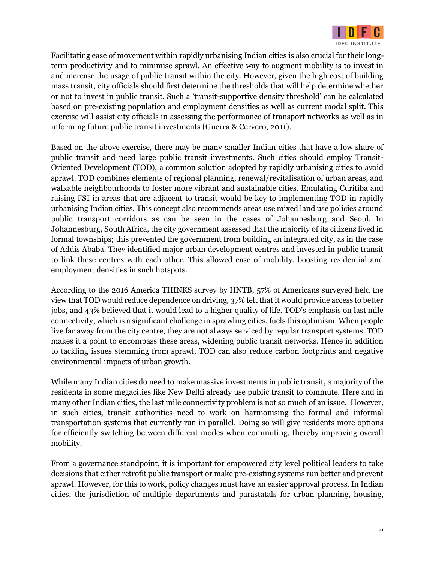

Facilitating ease of movement within rapidly urbanising Indian cities is also crucial for their longterm productivity and to minimise sprawl. An effective way to augment mobility is to invest in and increase the usage of public transit within the city. However, given the high cost of building mass transit, city officials should first determine the thresholds that will help determine whether or not to invest in public transit. Such a 'transit-supportive density threshold' can be calculated based on pre-existing population and employment densities as well as current modal split. This exercise will assist city officials in assessing the performance of transport networks as well as in informing future public transit investments (Guerra & Cervero, 2011).

Based on the above exercise, there may be many smaller Indian cities that have a low share of public transit and need large public transit investments. Such cities should employ Transit-Oriented Development (TOD), a common solution adopted by rapidly urbanising cities to avoid sprawl. TOD combines elements of regional planning, renewal/revitalisation of urban areas, and walkable neighbourhoods to foster more vibrant and sustainable cities. Emulating Curitiba and raising FSI in areas that are adjacent to transit would be key to implementing TOD in rapidly urbanising Indian cities. This concept also recommends areas use mixed land use policies around public transport corridors as can be seen in the cases of Johannesburg and Seoul. In Johannesburg, South Africa, the city government assessed that the majority of its citizens lived in formal townships; this prevented the government from building an integrated city, as in the case of Addis Ababa. They identified major urban development centres and invested in public transit to link these centres with each other. This allowed ease of mobility, boosting residential and employment densities in such hotspots.

According to the 2016 America THINKS survey by HNTB, 57% of Americans surveyed held the view that TOD would reduce dependence on driving, 37% felt that it would provide access to better jobs, and 43% believed that it would lead to a higher quality of life. TOD's emphasis on last mile connectivity, which is a significant challenge in sprawling cities, fuels this optimism. When people live far away from the city centre, they are not always serviced by regular transport systems. TOD makes it a point to encompass these areas, widening public transit networks. Hence in addition to tackling issues stemming from sprawl, TOD can also reduce carbon footprints and negative environmental impacts of urban growth.

While many Indian cities do need to make massive investments in public transit, a majority of the residents in some megacities like New Delhi already use public transit to commute. Here and in many other Indian cities, the last mile connectivity problem is not so much of an issue. However, in such cities, transit authorities need to work on harmonising the formal and informal transportation systems that currently run in parallel. Doing so will give residents more options for efficiently switching between different modes when commuting, thereby improving overall mobility.

From a governance standpoint, it is important for empowered city level political leaders to take decisions that either retrofit public transport or make pre-existing systems run better and prevent sprawl. However, for this to work, policy changes must have an easier approval process. In Indian cities, the jurisdiction of multiple departments and parastatals for urban planning, housing,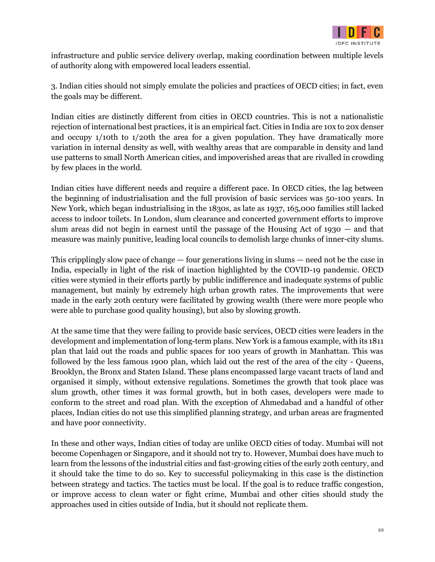

infrastructure and public service delivery overlap, making coordination between multiple levels of authority along with empowered local leaders essential.

3. Indian cities should not simply emulate the policies and practices of OECD cities; in fact, even the goals may be different.

Indian cities are distinctly different from cities in OECD countries. This is not a nationalistic rejection of international best practices, it is an empirical fact. Cities in India are 10x to 20x denser and occupy 1/10th to 1/20th the area for a given population. They have dramatically more variation in internal density as well, with wealthy areas that are comparable in density and land use patterns to small North American cities, and impoverished areas that are rivalled in crowding by few places in the world.

Indian cities have different needs and require a different pace. In OECD cities, the lag between the beginning of industrialisation and the full provision of basic services was 50-100 years. In New York, which began industrialising in the 1830s, as late as 1937, 165,000 families still lacked access to indoor toilets. In London, slum clearance and concerted government efforts to improve slum areas did not begin in earnest until the passage of the Housing Act of 1930 — and that measure was mainly punitive, leading local councils to demolish large chunks of inner-city slums.

This cripplingly slow pace of change — four generations living in slums — need not be the case in India, especially in light of the risk of inaction highlighted by the COVID-19 pandemic. OECD cities were stymied in their efforts partly by public indifference and inadequate systems of public management, but mainly by extremely high urban growth rates. The improvements that were made in the early 20th century were facilitated by growing wealth (there were more people who were able to purchase good quality housing), but also by slowing growth.

At the same time that they were failing to provide basic services, OECD cities were leaders in the development and implementation of long-term plans. New York is a famous example, with its 1811 plan that laid out the roads and public spaces for 100 years of growth in Manhattan. This was followed by the less famous 1900 plan, which laid out the rest of the area of the city - Queens, Brooklyn, the Bronx and Staten Island. These plans encompassed large vacant tracts of land and organised it simply, without extensive regulations. Sometimes the growth that took place was slum growth, other times it was formal growth, but in both cases, developers were made to conform to the street and road plan. With the exception of Ahmedabad and a handful of other places, Indian cities do not use this simplified planning strategy, and urban areas are fragmented and have poor connectivity.

In these and other ways, Indian cities of today are unlike OECD cities of today. Mumbai will not become Copenhagen or Singapore, and it should not try to. However, Mumbai does have much to learn from the lessons of the industrial cities and fast-growing cities of the early 20th century, and it should take the time to do so. Key to successful policymaking in this case is the distinction between strategy and tactics. The tactics must be local. If the goal is to reduce traffic congestion, or improve access to clean water or fight crime, Mumbai and other cities should study the approaches used in cities outside of India, but it should not replicate them.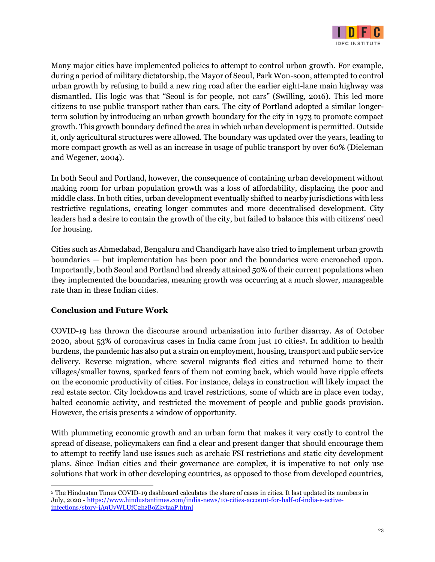

Many major cities have implemented policies to attempt to control urban growth. For example, during a period of military dictatorship, the Mayor of Seoul, Park Won-soon, attempted to control urban growth by refusing to build a new ring road after the earlier eight-lane main highway was dismantled. His logic was that "Seoul is for people, not cars" (Swilling, 2016). This led more citizens to use public transport rather than cars. The city of Portland adopted a similar longerterm solution by introducing an urban growth boundary for the city in 1973 to promote compact growth. This growth boundary defined the area in which urban development is permitted. Outside it, only agricultural structures were allowed. The boundary was updated over the years, leading to more compact growth as well as an increase in usage of public transport by over 60% (Dieleman and Wegener, 2004).

In both Seoul and Portland, however, the consequence of containing urban development without making room for urban population growth was a loss of affordability, displacing the poor and middle class. In both cities, urban development eventually shifted to nearby jurisdictions with less restrictive regulations, creating longer commutes and more decentralised development. City leaders had a desire to contain the growth of the city, but failed to balance this with citizens' need for housing.

Cities such as Ahmedabad, Bengaluru and Chandigarh have also tried to implement urban growth boundaries — but implementation has been poor and the boundaries were encroached upon. Importantly, both Seoul and Portland had already attained 50% of their current populations when they implemented the boundaries, meaning growth was occurring at a much slower, manageable rate than in these Indian cities.

## **Conclusion and Future Work**

COVID-19 has thrown the discourse around urbanisation into further disarray. As of October 2020, about 53% of coronavirus cases in India came from just 10 cities<sup>5</sup> . In addition to health burdens, the pandemic has also put a strain on employment, housing, transport and public service delivery. Reverse migration, where several migrants fled cities and returned home to their villages/smaller towns, sparked fears of them not coming back, which would have ripple effects on the economic productivity of cities. For instance, delays in construction will likely impact the real estate sector. City lockdowns and travel restrictions, some of which are in place even today, halted economic activity, and restricted the movement of people and public goods provision. However, the crisis presents a window of opportunity.

With plummeting economic growth and an urban form that makes it very costly to control the spread of disease, policymakers can find a clear and present danger that should encourage them to attempt to rectify land use issues such as archaic FSI restrictions and static city development plans. Since Indian cities and their governance are complex, it is imperative to not only use solutions that work in other developing countries, as opposed to those from developed countries,

<sup>5</sup> The Hindustan Times COVID-19 dashboard calculates the share of cases in cities. It last updated its numbers in July, 2020 - [https://www.hindustantimes.com/india-news/10-cities-account-for-half-of-india-s-active](https://www.hindustantimes.com/india-news/10-cities-account-for-half-of-india-s-active-infections/story-jA9UvWLUfC2hzBoZkytaaP.html)[infections/story-jA9UvWLUfC2hzBoZkytaaP.html](https://www.hindustantimes.com/india-news/10-cities-account-for-half-of-india-s-active-infections/story-jA9UvWLUfC2hzBoZkytaaP.html)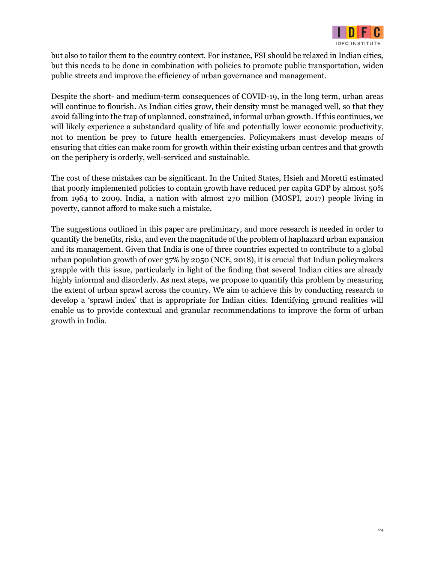

but also to tailor them to the country context. For instance, FSI should be relaxed in Indian cities, but this needs to be done in combination with policies to promote public transportation, widen public streets and improve the efficiency of urban governance and management.

Despite the short- and medium-term consequences of COVID-19, in the long term, urban areas will continue to flourish. As Indian cities grow, their density must be managed well, so that they avoid falling into the trap of unplanned, constrained, informal urban growth. If this continues, we will likely experience a substandard quality of life and potentially lower economic productivity, not to mention be prey to future health emergencies. Policymakers must develop means of ensuring that cities can make room for growth within their existing urban centres and that growth on the periphery is orderly, well-serviced and sustainable.

The cost of these mistakes can be significant. In the United States, Hsieh and Moretti estimated that poorly implemented policies to contain growth have reduced per capita GDP by almost 50% from 1964 to 2009. India, a nation with almost 270 million (MOSPI, 2017) people living in poverty, cannot afford to make such a mistake.

The suggestions outlined in this paper are preliminary, and more research is needed in order to quantify the benefits, risks, and even the magnitude of the problem of haphazard urban expansion and its management. Given that India is one of three countries expected to contribute to a global urban population growth of over 37% by 2050 (NCE, 2018), it is crucial that Indian policymakers grapple with this issue, particularly in light of the finding that several Indian cities are already highly informal and disorderly. As next steps, we propose to quantify this problem by measuring the extent of urban sprawl across the country. We aim to achieve this by conducting research to develop a 'sprawl index' that is appropriate for Indian cities. Identifying ground realities will enable us to provide contextual and granular recommendations to improve the form of urban growth in India.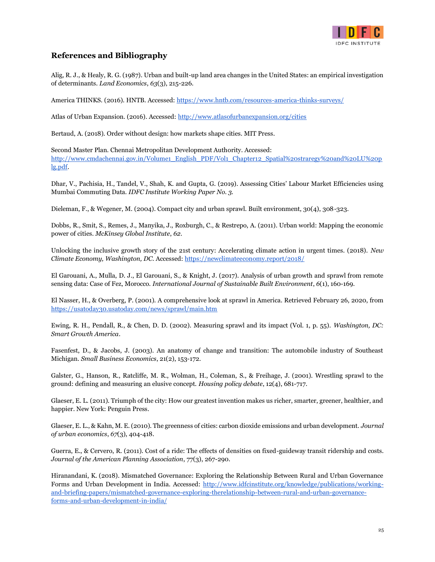

#### **References and Bibliography**

Alig, R. J., & Healy, R. G. (1987). Urban and built-up land area changes in the United States: an empirical investigation of determinants. *Land Economics*, *63*(3), 215-226.

America THINKS. (2016). HNTB. Accessed[: https://www.hntb.com/resources-america-thinks-surveys/](https://www.hntb.com/resources-america-thinks-surveys/)

Atlas of Urban Expansion. (2016). Accessed[:](http://www.atlasofurbanexpansion.org/cities) <http://www.atlasofurbanexpansion.org/cities>

Bertaud, A. (2018). Order without design: how markets shape cities. MIT Press.

Second Master Plan. Chennai Metropolitan Development Authority. Accessed: [http://www.cmdachennai.gov.in/Volume1\\_English\\_PDF/Vol1\\_Chapter12\\_Spatial%20straregy%20and%20LU%20p](http://www.cmdachennai.gov.in/Volume1_English_PDF/Vol1_Chapter12_Spatial%20straregy%20and%20LU%20plg.pdf) [lg.pdf.](http://www.cmdachennai.gov.in/Volume1_English_PDF/Vol1_Chapter12_Spatial%20straregy%20and%20LU%20plg.pdf)

Dhar, V., Pachisia, H., Tandel, V., Shah, K. and Gupta, G. (2019). Assessing Cities' Labour Market Efficiencies using Mumbai Commuting Data. *IDFC Institute Working Paper No. 3.*

Dieleman, F., & Wegener, M. (2004). Compact city and urban sprawl. Built environment, 30(4), 308-323.

Dobbs, R., Smit, S., Remes, J., Manyika, J., Roxburgh, C., & Restrepo, A. (2011). Urban world: Mapping the economic power of cities. *McKinsey Global Institute*, *62*.

Unlocking the inclusive growth story of the 21st century: Accelerating climate action in urgent times. (2018). *New Climate Economy, Washington, DC.* Accessed: <https://newclimateeconomy.report/2018/>

El Garouani, A., Mulla, D. J., El Garouani, S., & Knight, J. (2017). Analysis of urban growth and sprawl from remote sensing data: Case of Fez, Morocco. *International Journal of Sustainable Built Environment*, *6*(1), 160-169.

El Nasser, H., & Overberg, P. (2001). A comprehensive look at sprawl in America. Retrieved February 26, 2020, from <https://usatoday30.usatoday.com/news/sprawl/main.htm>

Ewing, R. H., Pendall, R., & Chen, D. D. (2002). Measuring sprawl and its impact (Vol. 1, p. 55). *Washington, DC: Smart Growth America*.

Fasenfest, D., & Jacobs, J. (2003). An anatomy of change and transition: The automobile industry of Southeast Michigan. *Small Business Economics*, 21(2), 153-172.

Galster, G., Hanson, R., Ratcliffe, M. R., Wolman, H., Coleman, S., & Freihage, J. (2001). Wrestling sprawl to the ground: defining and measuring an elusive concept. *Housing policy debate*, 12(4), 681-717.

Glaeser, E. L. (2011). Triumph of the city: How our greatest invention makes us richer, smarter, greener, healthier, and happier. New York: Penguin Press.

Glaeser, E. L., & Kahn, M. E. (2010). The greenness of cities: carbon dioxide emissions and urban development. *Journal of urban economics*, *67*(3), 404-418.

Guerra, E., & Cervero, R. (2011). Cost of a ride: The effects of densities on fixed-guideway transit ridership and costs. *Journal of the American Planning Association*, 77(3), 267-290.

Hiranandani, K. (2018). Mismatched Governance: Exploring the Relationship Between Rural and Urban Governance Forms and Urban Development in India. Accessed[:](http://www.idfcinstitute.org/knowledge/publications/working-and-briefing-papers/mismatched-governance-exploring-therelationship-between-rural-and-urban-governance-forms-and-urban-development-in-india/) [http://www.idfcinstitute.org/knowledge/publications/working](http://www.idfcinstitute.org/knowledge/publications/working-and-briefing-papers/mismatched-governance-exploring-therelationship-between-rural-and-urban-governance-forms-and-urban-development-in-india/)[and-briefing-papers/mismatched-governance-exploring-therelationship-between-rural-and-urban-governance](http://www.idfcinstitute.org/knowledge/publications/working-and-briefing-papers/mismatched-governance-exploring-therelationship-between-rural-and-urban-governance-forms-and-urban-development-in-india/)[forms-and-urban-development-in-india/](http://www.idfcinstitute.org/knowledge/publications/working-and-briefing-papers/mismatched-governance-exploring-therelationship-between-rural-and-urban-governance-forms-and-urban-development-in-india/)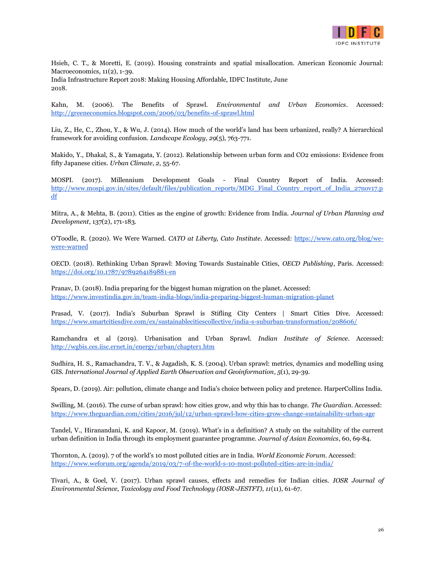

Hsieh, C. T., & Moretti, E. (2019). Housing constraints and spatial misallocation. American Economic Journal: Macroeconomics, 11(2), 1-39. India Infrastructure Report 2018: Making Housing Affordable, IDFC Institute, June

2018.

Kahn, M. (2006). The Benefits of Sprawl. *Environmental and Urban Economics*. Accessed[:](http://greeneconomics.blogspot.com/2006/03/benefits-of-sprawl.html) <http://greeneconomics.blogspot.com/2006/03/benefits-of-sprawl.html>

Liu, Z., He, C., Zhou, Y., & Wu, J. (2014). How much of the world's land has been urbanized, really? A hierarchical framework for avoiding confusion. *Landscape Ecology*, *29*(5), 763-771.

Makido, Y., Dhakal, S., & Yamagata, Y. (2012). Relationship between urban form and CO2 emissions: Evidence from fifty Japanese cities. *Urban Climate*, *2*, 55-67.

MOSPI. (2017). Millennium Development Goals - Final Country Report of India. Accessed: [http://www.mospi.gov.in/sites/default/files/publication\\_reports/MDG\\_Final\\_Country\\_report\\_of\\_India\\_27nov17.p](http://www.mospi.gov.in/sites/default/files/publication_reports/MDG_Final_Country_report_of_India_27nov17.pdf) [df](http://www.mospi.gov.in/sites/default/files/publication_reports/MDG_Final_Country_report_of_India_27nov17.pdf)

Mitra, A., & Mehta, B. (2011). Cities as the engine of growth: Evidence from India. *Journal of Urban Planning and Development*, 137(2), 171-183.

O'Toodle, R. (2020). We Were Warned. *CATO at Liberty, Cato Institute*. Accessed: [https://www.cato.org/blog/we](https://www.cato.org/blog/we-were-warned)[were-warned](https://www.cato.org/blog/we-were-warned)

OECD. (2018). Rethinking Urban Sprawl: Moving Towards Sustainable Cities, *OECD Publishing*, Paris. Accessed[:](https://doi.org/10.1787/9789264189881-en) <https://doi.org/10.1787/9789264189881-en>

Pranav, D. (2018). India preparing for the biggest human migration on the planet. Accessed[:](https://www.investindia.gov.in/team-india-blogs/india-preparing-biggest-human-migration-planet) <https://www.investindia.gov.in/team-india-blogs/india-preparing-biggest-human-migration-planet>

Prasad, V. (2017). India's Suburban Sprawl is Stifling City Centers | Smart Cities Dive. Accessed[:](https://www.smartcitiesdive.com/ex/sustainablecitiescollective/india-s-suburban-transformation/208606/) <https://www.smartcitiesdive.com/ex/sustainablecitiescollective/india-s-suburban-transformation/208606/>

Ramchandra et al (2019). Urbanisation and Urban Sprawl. *Indian Institute of Science*. Accessed[:](http://wgbis.ces.iisc.ernet.in/energy/urban/chapter1.htm) <http://wgbis.ces.iisc.ernet.in/energy/urban/chapter1.htm>

Sudhira, H. S., Ramachandra, T. V., & Jagadish, K. S. (2004). Urban sprawl: metrics, dynamics and modelling using GIS. *International Journal of Applied Earth Observation and Geoinformation*, *5*(1), 29-39.

Spears, D. (2019). Air: pollution, climate change and India's choice between policy and pretence. HarperCollins India.

Swilling, M. (2016). The curse of urban sprawl: how cities grow, and why this has to change. *The Guardian*. Accessed[:](https://www.theguardian.com/cities/2016/jul/12/urban-sprawl-how-cities-grow-change-sustainability-urban-age) <https://www.theguardian.com/cities/2016/jul/12/urban-sprawl-how-cities-grow-change-sustainability-urban-age>

Tandel, V., Hiranandani, K. and Kapoor, M. (2019). What's in a definition? A study on the suitability of the current urban definition in India through its employment guarantee programme. *Journal of Asian Economics*, 60, 69-84.

Thornton, A. (2019). 7 of the world's 10 most polluted cities are in India. *World Economic Forum*. Accessed[:](https://www.weforum.org/agenda/2019/03/7-of-the-world-s-10-most-polluted-cities-are-in-india/) <https://www.weforum.org/agenda/2019/03/7-of-the-world-s-10-most-polluted-cities-are-in-india/>

Tivari, A., & Goel, V. (2017). Urban sprawl causes, effects and remedies for Indian cities. *IOSR Journal of Environmental Science, Toxicology and Food Technology (IOSR-JESTFT)*, *11*(11), 61-67.